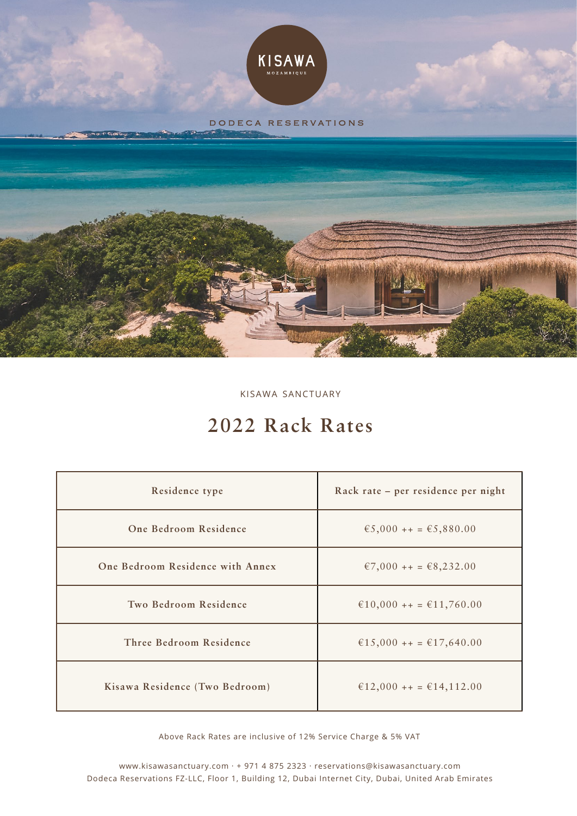

kisawa sanctuary

# **2022 Rack Rates**

| Residence type                   | Rack rate - per residence per night |
|----------------------------------|-------------------------------------|
| One Bedroom Residence            | €5,000 ++ = €5,880.00               |
| One Bedroom Residence with Annex | €7,000 + + = €8,232.00              |
| Two Bedroom Residence            | €10,000 + + = €11,760.00            |
| Three Bedroom Residence          | €15,000 + + = €17,640.00            |
| Kisawa Residence (Two Bedroom)   | €12,000 + + = €14,112.00            |

Above Rack Rates are inclusive of 12% Service Charge & 5% VAT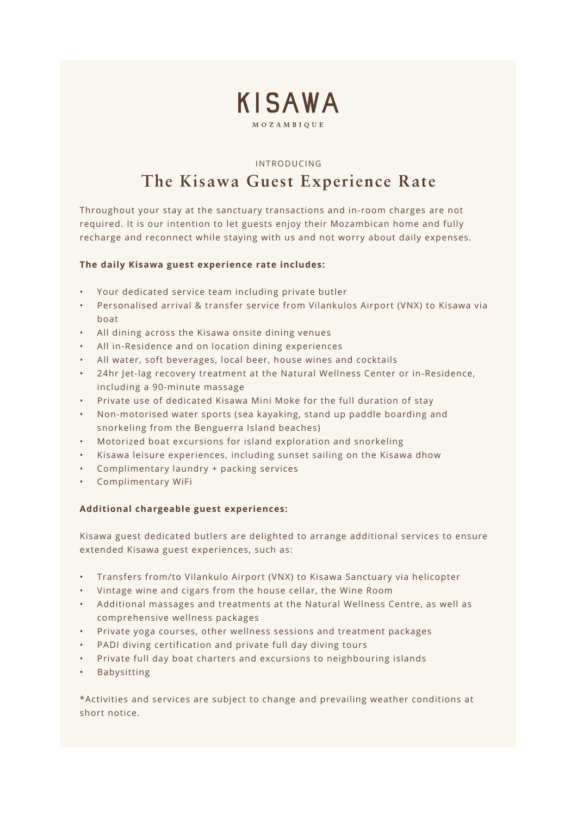

#### introducing

# **The Kisawa Guest Experience Rate**

Throughout your stay at the sanctuary transactions and in-room charges are not required. It is our intention to let guests enjoy their Mozambican home and fully recharge and reconnect while staying with us and not worry about daily expenses.

#### **The daily Kisawa guest experience rate includes:**

- Your dedicated service team including private butler
- Personalised arrival & transfer service from Vilankulos Airport (VNX) to Kisawa via boat
- All dining across the Kisawa onsite dining venues
- All in-Residence and on location dining experiences
- All water, soft beverages, local beer, house wines and cocktails
- 24hr Jet-lag recovery treatment at the Natural Wellness Center or in-Residence, including a 90-minute massage
- Private use of dedicated Kisawa Mini Moke for the full duration of stay
- Non-motorised water sports (sea kayaking, stand up paddle boarding and snorkeling from the Benguerra Island beaches)
- Motorized boat excursions for island exploration and snorkeling
- Kisawa leisure experiences, including sunset sailing on the Kisawa dhow
- Complimentary laundry + packing services
- Complimentary WiFi

#### **Additional chargeable guest experiences:**

Kisawa guest dedicated butlers are delighted to arrange additional services to ensure extended Kisawa guest experiences, such as:

- Transfers from/to Vilankulo Airport (VNX) to Kisawa Sanctuary via helicopter
- Vintage wine and cigars from the house cellar, the Wine Room
- Additional massages and treatments at the Natural Wellness Centre, as well as comprehensive wellness packages
- Private yoga courses, other wellness sessions and treatment packages
- PADI diving certification and private full day diving tours
- Private full day boat charters and excursions to neighbouring islands
- Babysitting

\*Activities and services are subject to change and prevailing weather conditions at short notice.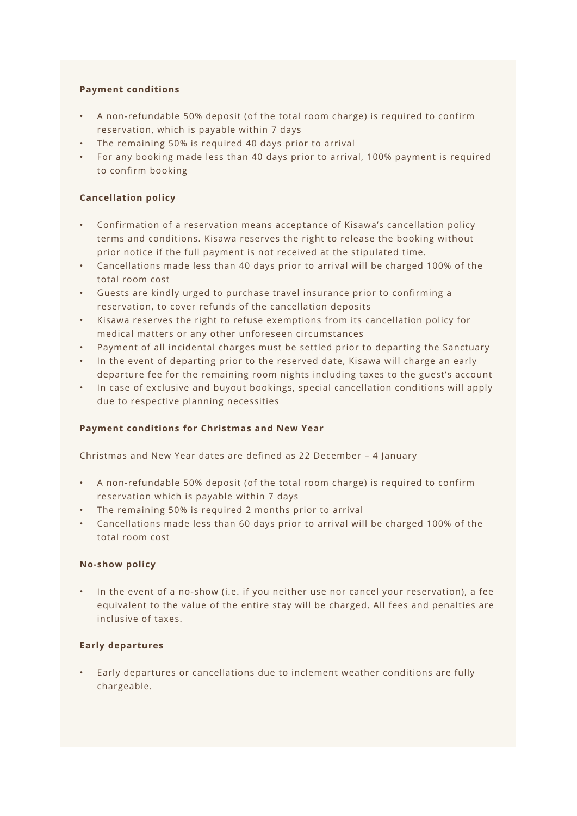# **Payment conditions**

- A non-refundable 50% deposit (of the total room charge) is required to confirm reservation, which is payable within 7 days
- The remaining 50% is required 40 days prior to arrival
- For any booking made less than 40 days prior to arrival, 100% payment is required to confirm booking

# **Cancellation policy**

- Confirmation of a reservation means acceptance of Kisawa's cancellation policy terms and conditions. Kisawa reserves the right to release the booking without prior notice if the full payment is not received at the stipulated time.
- Cancellations made less than 40 days prior to arrival will be charged 100% of the total room cost
- Guests are kindly urged to purchase travel insurance prior to confirming a reservation, to cover refunds of the cancellation deposits
- Kisawa reserves the right to refuse exemptions from its cancellation policy for medical matters or any other unforeseen circumstances
- Payment of all incidental charges must be settled prior to departing the Sanctuary
- In the event of departing prior to the reserved date, Kisawa will charge an early departure fee for the remaining room nights including taxes to the guest's account
- In case of exclusive and buyout bookings, special cancellation conditions will apply due to respective planning necessities

# **Payment conditions for Christmas and New Year**

Christmas and New Year dates are defined as 22 December – 4 January

- A non-refundable 50% deposit (of the total room charge) is required to confirm reservation which is payable within 7 days
- The remaining 50% is required 2 months prior to arrival
- Cancellations made less than 60 days prior to arrival will be charged 100% of the total room cost

# **No-show policy**

• In the event of a no-show (i.e. if you neither use nor cancel your reservation), a fee equivalent to the value of the entire stay will be charged. All fees and penalties are inclusive of taxes.

# **Early departures**

• Early departures or cancellations due to inclement weather conditions are fully chargeable.